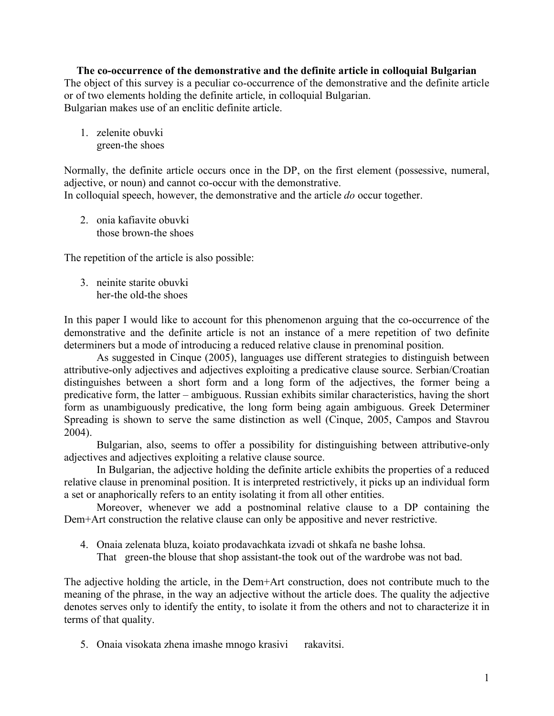**The co-occurrence of the demonstrative and the definite article in colloquial Bulgarian** The object of this survey is a peculiar co-occurrence of the demonstrative and the definite article or of two elements holding the definite article, in colloquial Bulgarian. Bulgarian makes use of an enclitic definite article.

1. zelenite obuvki green-the shoes

Normally, the definite article occurs once in the DP, on the first element (possessive, numeral, adjective, or noun) and cannot co-occur with the demonstrative. In colloquial speech, however, the demonstrative and the article *do* occur together.

2. onia kafiavite obuvki those brown-the shoes

The repetition of the article is also possible:

3. neinite starite obuvki her-the old-the shoes

In this paper I would like to account for this phenomenon arguing that the co-occurrence of the demonstrative and the definite article is not an instance of a mere repetition of two definite determiners but a mode of introducing a reduced relative clause in prenominal position.

As suggested in Cinque (2005), languages use different strategies to distinguish between attributive-only adjectives and adjectives exploiting a predicative clause source. Serbian/Croatian distinguishes between a short form and a long form of the adjectives, the former being a predicative form, the latter – ambiguous. Russian exhibits similar characteristics, having the short form as unambiguously predicative, the long form being again ambiguous. Greek Determiner Spreading is shown to serve the same distinction as well (Cinque, 2005, Campos and Stavrou 2004).

Bulgarian, also, seems to offer a possibility for distinguishing between attributive-only adjectives and adjectives exploiting a relative clause source.

In Bulgarian, the adjective holding the definite article exhibits the properties of a reduced relative clause in prenominal position. It is interpreted restrictively, it picks up an individual form a set or anaphorically refers to an entity isolating it from all other entities.

Moreover, whenever we add a postnominal relative clause to a DP containing the Dem+Art construction the relative clause can only be appositive and never restrictive.

4. Onaia zelenata bluza, koiato prodavachkata izvadi ot shkafa ne bashe lohsa.

That green-the blouse that shop assistant-the took out of the wardrobe was not bad.

The adjective holding the article, in the Dem+Art construction, does not contribute much to the meaning of the phrase, in the way an adjective without the article does. The quality the adjective denotes serves only to identify the entity, to isolate it from the others and not to characterize it in terms of that quality.

5. Onaia visokata zhena imashe mnogo krasivi rakavitsi.